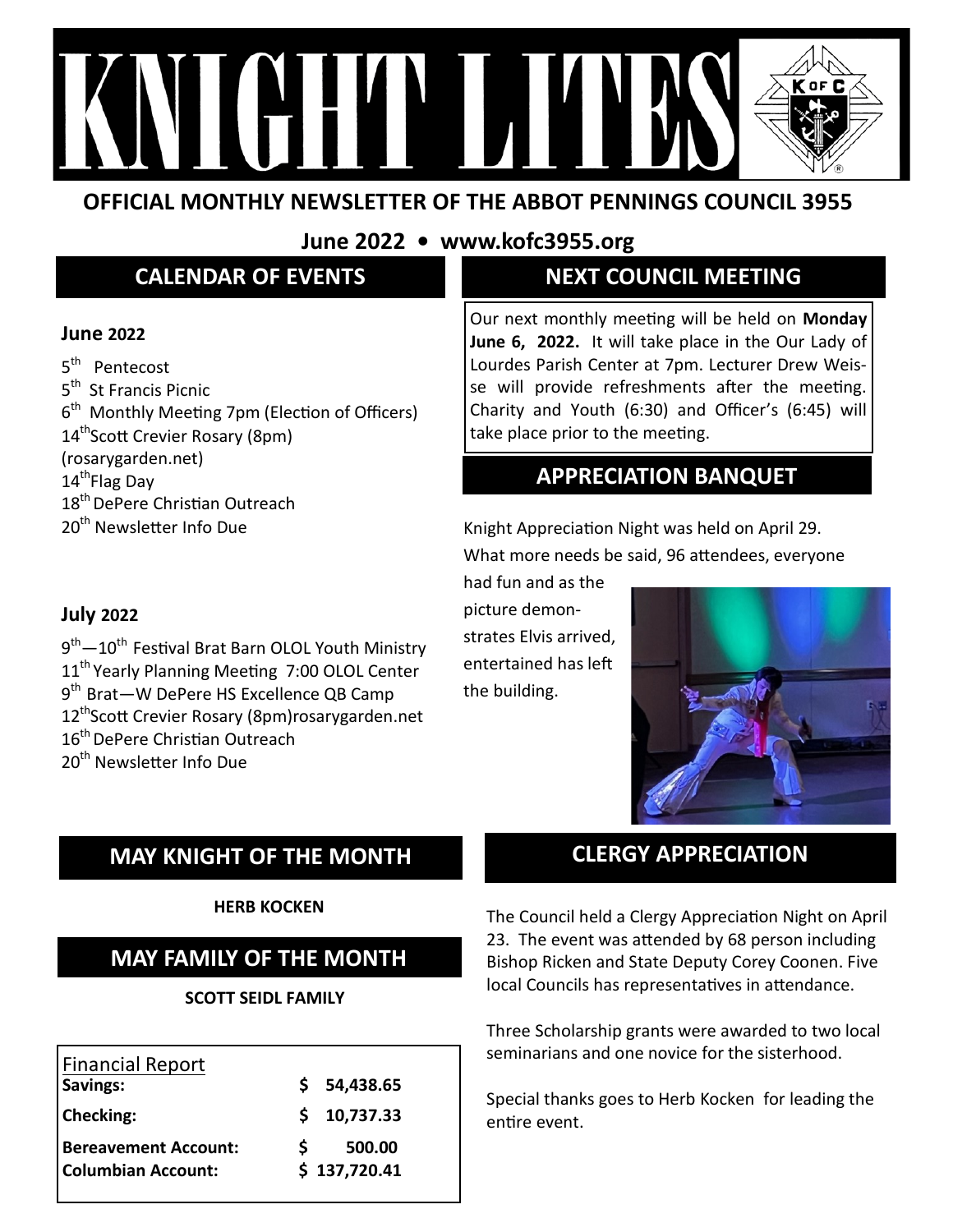

## **OFFICIAL MONTHLY NEWSLETTER OF THE ABBOT PENNINGS COUNCIL 3955**

**June 2022 • www.kofc3955.org**

**CALENDAR OF EVENTS**

# **NEXT COUNCIL MEETING**

### **June 2022**

- 5<sup>th</sup> Pentecost
- 5<sup>th</sup> St Francis Picnic
- 6<sup>th</sup> Monthly Meeting 7pm (Election of Officers) 14<sup>th</sup>Scott Crevier Rosary (8pm) (rosarygarden.net)
- $14^{\text{th}}$ Flag Day
- 18<sup>th</sup> DePere Christian Outreach
- 20<sup>th</sup> Newsletter Info Due

### Our next monthly meeting will be held on **Monday June 6, 2022.** It will take place in the Our Lady of Lourdes Parish Center at 7pm. Lecturer Drew Weisse will provide refreshments after the meeting. Charity and Youth (6:30) and Officer's (6:45) will take place prior to the meeting.

# **APPRECIATION BANQUET**

Knight Appreciation Night was held on April 29. What more needs be said, 96 attendees, everyone

had fun and as the picture demonstrates Elvis arrived, entertained has left the building.



# **CLERGY APPRECIATION**

The Council held a Clergy Appreciation Night on April 23. The event was attended by 68 person including Bishop Ricken and State Deputy Corey Coonen. Five local Councils has representatives in attendance.

Three Scholarship grants were awarded to two local seminarians and one novice for the sisterhood.

Special thanks goes to Herb Kocken for leading the entire event.

### **July 2022**

- $9<sup>th</sup>$ — $10<sup>th</sup>$  Festival Brat Barn OLOL Youth Ministry 11<sup>th</sup> Yearly Planning Meeting 7:00 OLOL Center 9<sup>th</sup> Brat—W DePere HS Excellence QB Camp 12<sup>th</sup>Scott Crevier Rosary (8pm)rosarygarden.net 16<sup>th</sup> DePere Christian Outreach
- 20<sup>th</sup> Newsletter Info Due

# **MAY KNIGHT OF THE MONTH**

### **HERB KOCKEN**

# **MAY FAMILY OF THE MONTH**

### **SCOTT SEIDL FAMILY**

| <b>Financial Report</b>     | 54,438.65      |
|-----------------------------|----------------|
| Savings:                    | S.             |
| <b>Checking:</b>            | 10,737.33<br>S |
| <b>Bereavement Account:</b> | 500.00         |
| <b>Columbian Account:</b>   | \$137,720.41   |
|                             |                |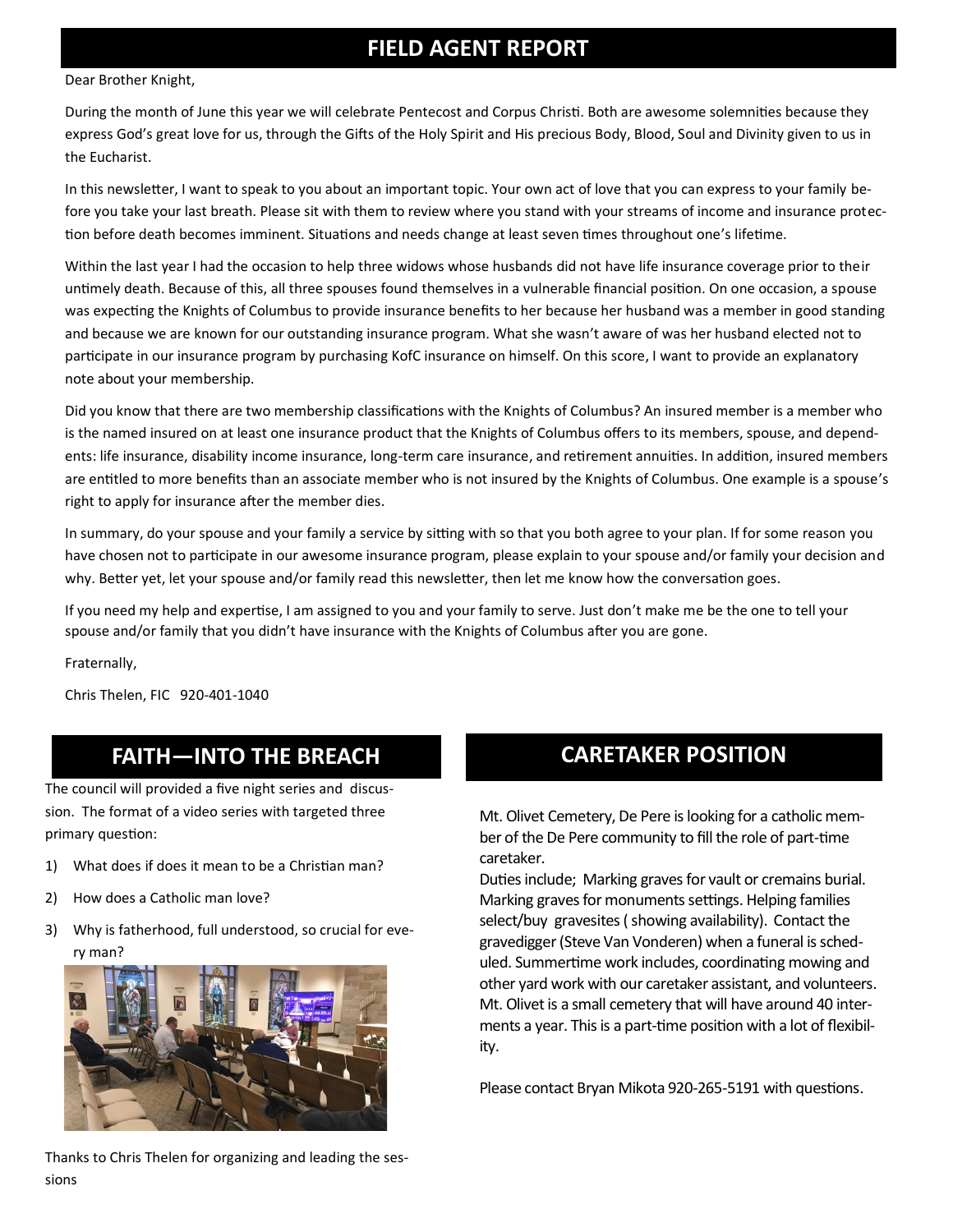## **FIELD AGENT REPORT**

#### Dear Brother Knight,

During the month of June this year we will celebrate Pentecost and Corpus Christi. Both are awesome solemnities because they express God's great love for us, through the Gifts of the Holy Spirit and His precious Body, Blood, Soul and Divinity given to us in the Eucharist.

In this newsletter, I want to speak to you about an important topic. Your own act of love that you can express to your family before you take your last breath. Please sit with them to review where you stand with your streams of income and insurance protection before death becomes imminent. Situations and needs change at least seven times throughout one's lifetime.

Within the last year I had the occasion to help three widows whose husbands did not have life insurance coverage prior to their untimely death. Because of this, all three spouses found themselves in a vulnerable financial position. On one occasion, a spouse was expecting the Knights of Columbus to provide insurance benefits to her because her husband was a member in good standing and because we are known for our outstanding insurance program. What she wasn't aware of was her husband elected not to participate in our insurance program by purchasing KofC insurance on himself. On this score, I want to provide an explanatory note about your membership.

Did you know that there are two membership classifications with the Knights of Columbus? An insured member is a member who is the named insured on at least one insurance product that the Knights of Columbus offers to its members, spouse, and dependents: life insurance, disability income insurance, long-term care insurance, and retirement annuities. In addition, insured members are entitled to more benefits than an associate member who is not insured by the Knights of Columbus. One example is a spouse's right to apply for insurance after the member dies.

In summary, do your spouse and your family a service by sitting with so that you both agree to your plan. If for some reason you have chosen not to participate in our awesome insurance program, please explain to your spouse and/or family your decision and why. Better yet, let your spouse and/or family read this newsletter, then let me know how the conversation goes.

If you need my help and expertise, I am assigned to you and your family to serve. Just don't make me be the one to tell your spouse and/or family that you didn't have insurance with the Knights of Columbus after you are gone.

Fraternally,

Chris Thelen, FIC 920-401-1040

### **FAITH—INTO THE BREACH**

The council will provided a five night series and discussion. The format of a video series with targeted three primary question:

- 1) What does if does it mean to be a Christian man?
- 2) How does a Catholic man love?
- 3) Why is fatherhood, full understood, so crucial for every man?



### **CARETAKER POSITION**

Mt. Olivet Cemetery, De Pere is looking for a catholic member of the De Pere community to fill the role of part-time caretaker.

Duties include; Marking graves for vault or cremains burial. Marking graves for monuments settings. Helping families select/buy gravesites ( showing availability). Contact the gravedigger (Steve Van Vonderen) when a funeral is scheduled. Summertime work includes, coordinating mowing and other yard work with our caretaker assistant, and volunteers. Mt. Olivet is a small cemetery that will have around 40 interments a year. This is a part-time position with a lot of flexibility.

Please contact Bryan Mikota 920-265-5191 with questions.

Thanks to Chris Thelen for organizing and leading the sessions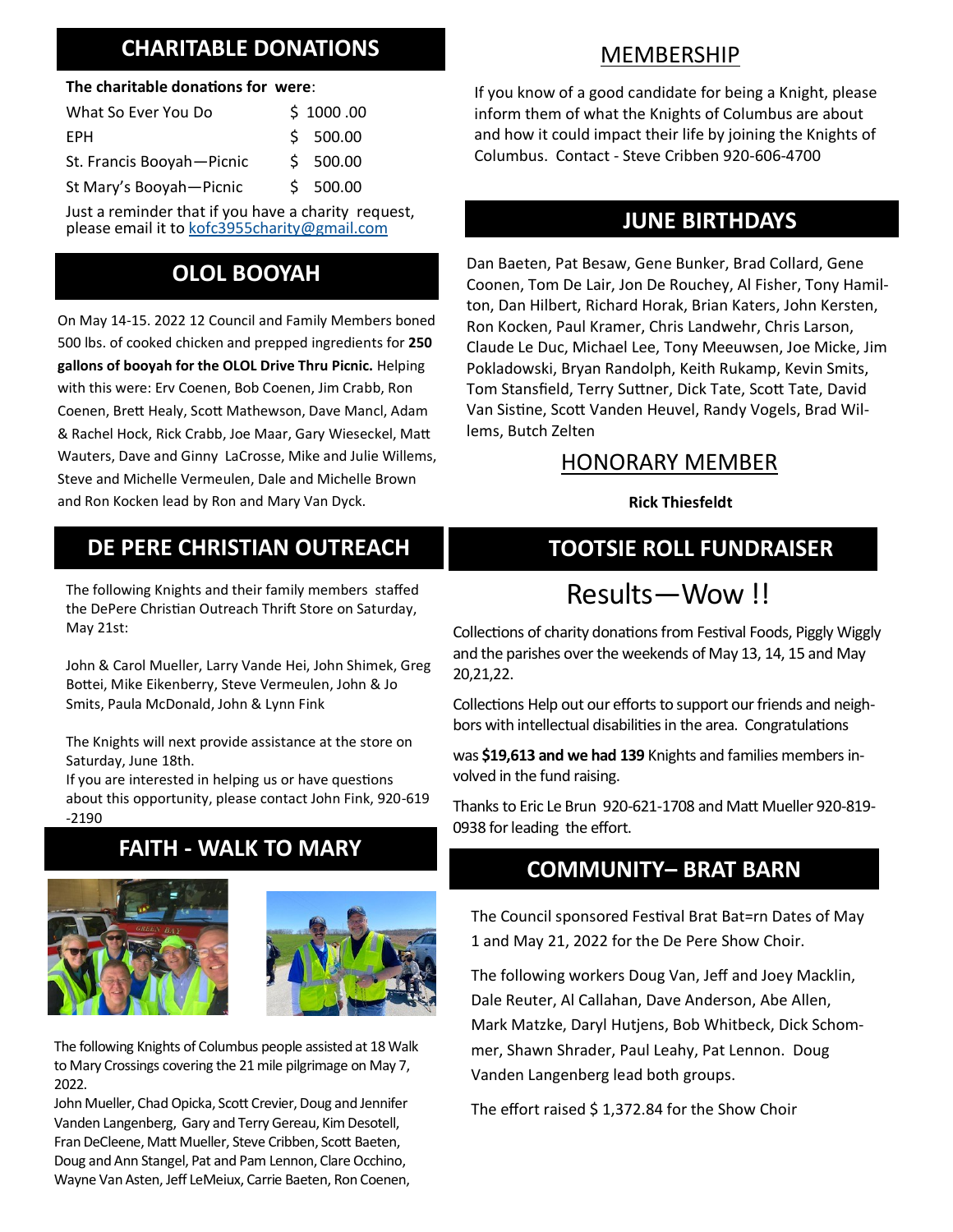## **CHARITABLE DONATIONS**

#### **The charitable donations for were**:

| What So Ever You Do       | \$1000.00 |
|---------------------------|-----------|
| EPH.                      | \$500.00  |
| St. Francis Booyah-Picnic | \$500.00  |
| St Mary's Booyah-Picnic   | \$500.00  |

Just a reminder that if you have a charity request, Just a reminder that if you have a charity request,<br>please email it to [kofc3955charity@gmail.com](mailto:kofc3955charity@gmail.com) **JUNE BIRTHDAYS** 

### **OLOL BOOYAH**

On May 14-15. 2022 12 Council and Family Members boned 500 lbs. of cooked chicken and prepped ingredients for **250 gallons of booyah for the OLOL Drive Thru Picnic.** Helping with this were: Erv Coenen, Bob Coenen, Jim Crabb, Ron Coenen, Brett Healy, Scott Mathewson, Dave Mancl, Adam & Rachel Hock, Rick Crabb, Joe Maar, Gary Wieseckel, Matt Wauters, Dave and Ginny LaCrosse, Mike and Julie Willems, Steve and Michelle Vermeulen, Dale and Michelle Brown and Ron Kocken lead by Ron and Mary Van Dyck.

### **DE PERE CHRISTIAN OUTREACH TOOTSIE ROLL FUNDRAISER**

The following Knights and their family members staffed the DePere Christian Outreach Thrift Store on Saturday, May 21st:

John & Carol Mueller, Larry Vande Hei, John Shimek, Greg Bottei, Mike Eikenberry, Steve Vermeulen, John & Jo Smits, Paula McDonald, John & Lynn Fink

The Knights will next provide assistance at the store on Saturday, June 18th.

If you are interested in helping us or have questions about this opportunity, please contact John Fink, 920-619 -2190

# **FAITH - WALK TO MARY**





The following Knights of Columbus people assisted at 18 Walk to Mary Crossings covering the 21 mile pilgrimage on May 7, 2022.

John Mueller, Chad Opicka, Scott Crevier, Doug and Jennifer Vanden Langenberg, Gary and Terry Gereau, Kim Desotell, Fran DeCleene, Matt Mueller, Steve Cribben, Scott Baeten, Doug and Ann Stangel, Pat and Pam Lennon, Clare Occhino, Wayne Van Asten, Jeff LeMeiux, Carrie Baeten, Ron Coenen,

### MEMBERSHIP

If you know of a good candidate for being a Knight, please inform them of what the Knights of Columbus are about and how it could impact their life by joining the Knights of Columbus. Contact - Steve Cribben 920-606-4700

Dan Baeten, Pat Besaw, Gene Bunker, Brad Collard, Gene Coonen, Tom De Lair, Jon De Rouchey, Al Fisher, Tony Hamilton, Dan Hilbert, Richard Horak, Brian Katers, John Kersten, Ron Kocken, Paul Kramer, Chris Landwehr, Chris Larson, Claude Le Duc, Michael Lee, Tony Meeuwsen, Joe Micke, Jim Pokladowski, Bryan Randolph, Keith Rukamp, Kevin Smits, Tom Stansfield, Terry Suttner, Dick Tate, Scott Tate, David Van Sistine, Scott Vanden Heuvel, Randy Vogels, Brad Willems, Butch Zelten

### HONORARY MEMBER

**Rick Thiesfeldt**

Results—Wow !!

Collections of charity donations from Festival Foods, Piggly Wiggly and the parishes over the weekends of May 13, 14, 15 and May 20,21,22.

Collections Help out our efforts to support our friends and neighbors with intellectual disabilities in the area. Congratulations

was **\$19,613 and we had 139** Knights and families members involved in the fund raising.

Thanks to Eric Le Brun 920-621-1708 and Matt Mueller 920-819- 0938 for leading the effort.

### **COMMUNITY– BRAT BARN**

The Council sponsored Festival Brat Bat=rn Dates of May 1 and May 21, 2022 for the De Pere Show Choir.

The following workers Doug Van, Jeff and Joey Macklin, Dale Reuter, Al Callahan, Dave Anderson, Abe Allen, Mark Matzke, Daryl Hutjens, Bob Whitbeck, Dick Schommer, Shawn Shrader, Paul Leahy, Pat Lennon. Doug Vanden Langenberg lead both groups.

The effort raised \$1,372.84 for the Show Choir